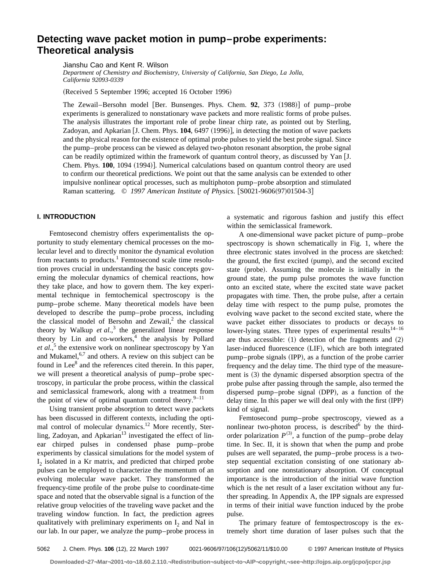# **Detecting wave packet motion in pump–probe experiments: Theoretical analysis**

Jianshu Cao and Kent R. Wilson

*Department of Chemistry and Biochemistry, University of California, San Diego, La Jolla, California 92093-0339*

(Received 5 September 1996; accepted 16 October 1996)

The Zewail–Bersohn model [Ber. Bunsenges. Phys. Chem. **92**, 373 (1988)] of pump–probe experiments is generalized to nonstationary wave packets and more realistic forms of probe pulses. The analysis illustrates the important role of probe linear chirp rate, as pointed out by Sterling, Zadoyan, and Apkarian [J. Chem. Phys. 104, 6497 (1996)], in detecting the motion of wave packets and the physical reason for the existence of optimal probe pulses to yield the best probe signal. Since the pump–probe process can be viewed as delayed two-photon resonant absorption, the probe signal can be readily optimized within the framework of quantum control theory, as discussed by Yan [J. Chem. Phys. **100**, 1094 (1994)]. Numerical calculations based on quantum control theory are used to confirm our theoretical predictions. We point out that the same analysis can be extended to other impulsive nonlinear optical processes, such as multiphoton pump–probe absorption and stimulated Raman scattering. © 1997 American Institute of Physics. [S0021-9606(97)01504-3]

## **I. INTRODUCTION**

Femtosecond chemistry offers experimentalists the opportunity to study elementary chemical processes on the molecular level and to directly monitor the dynamical evolution from reactants to products.<sup>1</sup> Femtosecond scale time resolution proves crucial in understanding the basic concepts governing the molecular dynamics of chemical reactions, how they take place, and how to govern them. The key experimental technique in femtochemical spectroscopy is the pump–probe scheme. Many theoretical models have been developed to describe the pump–probe process, including the classical model of Bersohn and Zewail, $2$  the classical theory by Walkup *et al.*, <sup>3</sup> the generalized linear response theory by Lin and co-workers,<sup>4</sup> the analysis by Pollard *et al.*, <sup>5</sup> the extensive work on nonlinear spectroscopy by Yan and Mukamel,<sup>6,7</sup> and others. A review on this subject can be found in Lee $<sup>8</sup>$  and the references cited therein. In this paper,</sup> we will present a theoretical analysis of pump–probe spectroscopy, in particular the probe process, within the classical and semiclassical framework, along with a treatment from the point of view of optimal quantum control theory. $9-11$ 

Using transient probe absorption to detect wave packets has been discussed in different contexts, including the optimal control of molecular dynamics.12 More recently, Sterling, Zadoyan, and Apkarian $13$  investigated the effect of linear chirped pulses in condensed phase pump–probe experiments by classical simulations for the model system of  $I_2$  isolated in a Kr matrix, and predicted that chirped probe pulses can be employed to characterize the momentum of an evolving molecular wave packet. They transformed the frequency-time profile of the probe pulse to coordinate-time space and noted that the observable signal is a function of the relative group velocities of the traveling wave packet and the traveling window function. In fact, the prediction agrees qualitatively with preliminary experiments on  $I_2$  and NaI in our lab. In our paper, we analyze the pump–probe process in

a systematic and rigorous fashion and justify this effect within the semiclassical framework.

A one-dimensional wave packet picture of pump–probe spectroscopy is shown schematically in Fig. 1, where the three electronic states involved in the process are sketched: the ground, the first excited (pump), and the second excited state (probe). Assuming the molecule is initially in the ground state, the pump pulse promotes the wave function onto an excited state, where the excited state wave packet propagates with time. Then, the probe pulse, after a certain delay time with respect to the pump pulse, promotes the evolving wave packet to the second excited state, where the wave packet either dissociates to products or decays to lower-lying states. Three types of experimental results $14-16$ are thus accessible:  $(1)$  detection of the fragments and  $(2)$ laser-induced fluorescence (LIF), which are both integrated pump–probe signals (IPP), as a function of the probe carrier frequency and the delay time. The third type of the measurement is  $(3)$  the dynamic dispersed absorption spectra of the probe pulse after passing through the sample, also termed the dispersed pump–probe signal  $(DPP)$ , as a function of the delay time. In this paper we will deal only with the first (IPP) kind of signal.

Femtosecond pump–probe spectroscopy, viewed as a nonlinear two-photon process, is described $^6$  by the thirdorder polarization  $P^{(3)}$ , a function of the pump–probe delay time. In Sec. II, it is shown that when the pump and probe pulses are well separated, the pump–probe process is a twostep sequential excitation consisting of one stationary absorption and one nonstationary absorption. Of conceptual importance is the introduction of the initial wave function which is the net result of a laser excitation without any further spreading. In Appendix A, the IPP signals are expressed in terms of their initial wave function induced by the probe pulse.

The primary feature of femtospectroscopy is the extremely short time duration of laser pulses such that the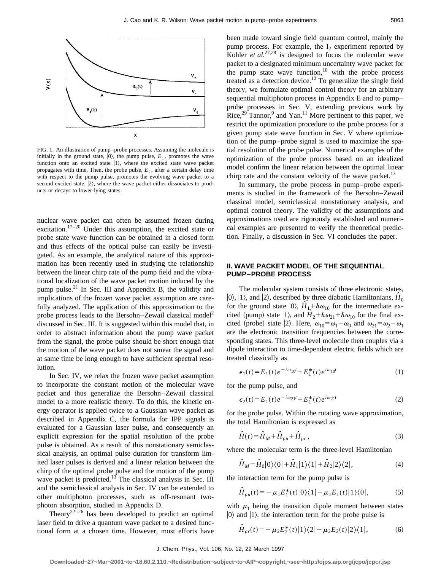

FIG. 1. An illustration of pump–probe processes. Assuming the molecule is initially in the ground state,  $|0\rangle$ , the pump pulse,  $E_1$ , promotes the wave function onto an excited state  $|1\rangle$ , where the excited state wave packet propagates with time. Then, the probe pulse,  $E_2$ , after a certain delay time with respect to the pump pulse, promotes the evolving wave packet to a second excited state,  $|2\rangle$ , where the wave packet either dissociates to products or decays to lower-lying states.

nuclear wave packet can often be assumed frozen during excitation.<sup>17–20</sup> Under this assumption, the excited state or probe state wave function can be obtained in a closed form and thus effects of the optical pulse can easily be investigated. As an example, the analytical nature of this approximation has been recently used in studying the relationship between the linear chirp rate of the pump field and the vibrational localization of the wave packet motion induced by the pump pulse.<sup>21</sup> In Sec. III and Appendix B, the validity and implications of the frozen wave packet assumption are carefully analyzed. The application of this approximation to the probe process leads to the Bersohn–Zewail classical model<sup>2</sup> discussed in Sec. III. It is suggested within this model that, in order to abstract information about the pump wave packet from the signal, the probe pulse should be short enough that the motion of the wave packet does not smear the signal and at same time be long enough to have sufficient spectral resolution.

In Sec. IV, we relax the frozen wave packet assumption to incorporate the constant motion of the molecular wave packet and thus generalize the Bersohn–Zewail classical model to a more realistic theory. To do this, the kinetic energy operator is applied twice to a Gaussian wave packet as described in Appendix C, the formula for IPP signals is evaluated for a Gaussian laser pulse, and consequently an explicit expression for the spatial resolution of the probe pulse is obtained. As a result of this nonstationary semiclassical analysis, an optimal pulse duration for transform limited laser pulses is derived and a linear relation between the chirp of the optimal probe pulse and the motion of the pump wave packet is predicted.<sup>13</sup> The classical analysis in Sec. III and the semiclassical analysis in Sec. IV can be extended to other multiphoton processes, such as off-resonant twophoton absorption, studied in Appendix D.

Theory<sup>22–26</sup> has been developed to predict an optimal laser field to drive a quantum wave packet to a desired functional form at a chosen time. However, most efforts have been made toward single field quantum control, mainly the pump process. For example, the  $I_2$  experiment reported by Kohler *et al.*<sup>27,28</sup> is designed to focus the molecular wave packet to a designated minimum uncertainty wave packet for the pump state wave function, $10$  with the probe process treated as a detection device.<sup>12</sup> To generalize the single field theory, we formulate optimal control theory for an arbitrary sequential multiphoton process in Appendix E and to pump– probe processes in Sec. V, extending previous work by Rice, $29$ <sup>T</sup>annor,<sup>9</sup> and Yan.<sup>11</sup> More pertinent to this paper, we restrict the optimization procedure to the probe process for a given pump state wave function in Sec. V where optimization of the pump–probe signal is used to maximize the spatial resolution of the probe pulse. Numerical examples of the optimization of the probe process based on an idealized model confirm the linear relation between the optimal linear chirp rate and the constant velocity of the wave packet.<sup>13</sup>

In summary, the probe process in pump–probe experiments is studied in the framework of the Bersohn–Zewail classical model, semiclassical nonstationary analysis, and optimal control theory. The validity of the assumptions and approximations used are rigorously established and numerical examples are presented to verify the theoretical prediction. Finally, a discussion in Sec. VI concludes the paper.

## **II. WAVE PACKET MODEL OF THE SEQUENTIAL PUMP–PROBE PROCESS**

The molecular system consists of three electronic states,  $|0\rangle$ ,  $|1\rangle$ , and  $|2\rangle$ , described by three diabatic Hamiltonians,  $H_0$ for the ground state  $|0\rangle$ ,  $H_1 + \hbar \omega_{10}$  for the intermediate excited (pump) state  $|1\rangle$ , and  $H_2 + \hbar \omega_{21} + \hbar \omega_{10}$  for the final excited (probe) state  $|2\rangle$ . Here,  $\omega_{10} = \omega_1 - \omega_0$  and  $\omega_{21} = \omega_2 - \omega_1$ are the electronic transition frequencies between the corresponding states. This three-level molecule then couples via a dipole interaction to time-dependent electric fields which are treated classically as

$$
\epsilon_1(t) = E_1(t)e^{-i\omega_{10}t} + E_1^*(t)e^{i\omega_{10}t}
$$
 (1)

for the pump pulse, and

$$
\epsilon_2(t) = E_1(t)e^{-i\omega_{21}t} + E_1^*(t)e^{i\omega_{21}t}
$$
 (2)

for the probe pulse. Within the rotating wave approximation, the total Hamiltonian is expressed as

$$
\hat{H}(t) = \hat{H}_M + \hat{H}_{pu} + \hat{H}_{pr},\tag{3}
$$

where the molecular term is the three-level Hamiltonian

$$
\hat{H}_M = \hat{H}_0|0\rangle\langle 0| + \hat{H}_1|1\rangle\langle 1| + \hat{H}_2|2\rangle\langle 2|,\tag{4}
$$

the interaction term for the pump pulse is

$$
\hat{H}_{pu}(t) = -\mu_1 E_1^*(t) |0\rangle\langle 1| - \mu_1 E_1(t) |1\rangle\langle 0|,
$$
 (5)

with  $\mu_1$  being the transition dipole moment between states  $|0\rangle$  and  $|1\rangle$ , the interaction term for the probe pulse is

$$
\hat{H}_{pr}(t) = -\mu_2 E_2^*(t) |1\rangle\langle 2| - \mu_2 E_2(t) |2\rangle\langle 1|,
$$
\n(6)

J. Chem. Phys., Vol. 106, No. 12, 22 March 1997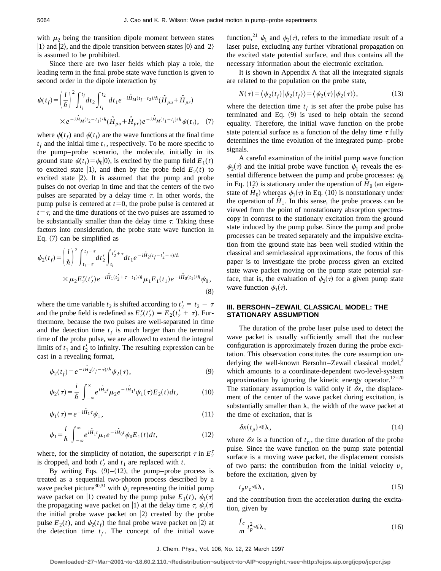with  $\mu_2$  being the transition dipole moment between states  $|1\rangle$  and  $|2\rangle$ , and the dipole transition between states  $|0\rangle$  and  $|2\rangle$ is assumed to be prohibited.

Since there are two laser fields which play a role, the leading term in the final probe state wave function is given to second order in the dipole interaction by

$$
\psi(t_f) = \left(\frac{i}{\hbar}\right)^2 \int_{t_i}^{t_f} dt_2 \int_{t_i}^{t_2} dt_1 e^{-i\hat{H}_M(t_f - t_2)/\hbar} (\hat{H}_{pu} + \hat{H}_{pr})
$$
  
 
$$
\times e^{-i\hat{H}_M(t_2 - t_1)/\hbar} (\hat{H}_{pu} + \hat{H}_{pr}) e^{-i\hat{H}_M(t_1 - t_i)/\hbar} \psi(t_i), \quad (7)
$$

where  $\psi(t_f)$  and  $\psi(t_i)$  are the wave functions at the final time  $t_f$  and the initial time  $t_i$ , respectively. To be more specific to the pump–probe scenario, the molecule, initially in its ground state  $\psi(t_i) = \psi_0(0)$ , is excited by the pump field  $E_1(t)$ to excited state  $|1\rangle$ , and then by the probe field  $E_2(t)$  to excited state  $|2\rangle$ . It is assumed that the pump and probe pulses do not overlap in time and that the centers of the two pulses are separated by a delay time  $\tau$ . In other words, the pump pulse is centered at  $t=0$ , the probe pulse is centered at  $t=\tau$ , and the time durations of the two pulses are assumed to be substantially smaller than the delay time  $\tau$ . Taking these factors into consideration, the probe state wave function in Eq.  $(7)$  can be simplified as

$$
\psi_2(t_f) = \left(\frac{i}{\hbar}\right)^2 \int_{t_i - \tau}^{t_f - \tau} dt'_2 \int_{t_i}^{t'_2 + \tau} dt_1 e^{-i\hat{H}_2(t_f - t'_2 - \tau)/\hbar}
$$
  
 
$$
\times \mu_2 E_2^{\tau}(t'_2) e^{-i\hat{H}_1(t'_2 + \tau - t_1)/\hbar} \mu_1 E_1(t_1) e^{-i\hat{H}_0(t_1)/\hbar} \psi_0,
$$
(8)

where the time variable  $t_2$  is shifted according to  $t'_2 = t_2 - \tau$ and the probe field is redefined as  $E_2^{\tau}(t'_2) = E_2(t'_2 + \tau)$ . Furthermore, because the two pulses are well-separated in time and the detection time  $t_f$  is much larger than the terminal time of the probe pulse, we are allowed to extend the integral limits of  $t_1$  and  $t_2$  to infinity. The resulting expression can be cast in a revealing format,

$$
\psi_2(t_f) = e^{-i\hat{H}_2(t_f - \tau)/\hbar} \psi_2(\tau), \tag{9}
$$

$$
\psi_2(\tau) = \frac{i}{\hbar} \int_{-\infty}^{\infty} e^{i\hat{H}_2 t} \mu_2 e^{-i\hat{H}_1 t} \psi_1(\tau) E_2(t) dt, \tag{10}
$$

$$
\psi_1(\tau) = e^{-i\hat{H}_1\tau}\psi_1,\tag{11}
$$

$$
\psi_1 = \frac{i}{\hbar} \int_{-\infty}^{\infty} e^{i\hat{H}_1 t} \mu_1 e^{-i\hat{H}_0 t} \psi_0 E_1(t) dt, \tag{12}
$$

where, for the simplicity of notation, the superscript  $\tau$  in  $E_2^{\tau}$ is dropped, and both  $t'_2$  and  $t_1$  are replaced with  $t$ .

By writing Eqs.  $(9)$ – $(12)$ , the pump–probe process is treated as a sequential two-photon process described by a wave packet picture<sup>30,31</sup> with  $\psi_1$  representing the initial pump wave packet on  $|1\rangle$  created by the pump pulse  $E_1(t)$ ,  $\psi_1(\tau)$ the propagating wave packet on  $|1\rangle$  at the delay time  $\tau$ ,  $\psi_2(\tau)$ the initial probe wave packet on  $|2\rangle$  created by the probe pulse  $E_2(t)$ , and  $\psi_2(t_f)$  the final probe wave packet on  $|2\rangle$  at the detection time  $t_f$ . The concept of the initial wave function,<sup>21</sup>  $\psi_1$  and  $\psi_2(\tau)$ , refers to the immediate result of a laser pulse, excluding any further vibrational propagation on the excited state potential surface, and thus contains all the necessary information about the electronic excitation.

It is shown in Appendix A that all the integrated signals are related to the population on the probe state,

$$
N(\tau) = \langle \psi_2(t_f) | \psi_2(t_f) \rangle = \langle \psi_2(\tau) | \psi_2(\tau) \rangle, \tag{13}
$$

where the detection time  $t_f$  is set after the probe pulse has terminated and Eq.  $(9)$  is used to help obtain the second equality. Therefore, the initial wave function on the probe state potential surface as a function of the delay time  $\tau$  fully determines the time evolution of the integrated pump–probe signals.

A careful examination of the initial pump wave function  $\psi_2(\tau)$  and the initial probe wave function  $\psi_1$  reveals the essential difference between the pump and probe processes:  $\psi_0$ in Eq.  $(12)$  is stationary under the operation of  $H<sub>0</sub>$  (an eigenstate of  $H_0$ ) whereas  $\psi_1(\tau)$  in Eq. (10) is nonstationary under the operation of  $H_1$ . In this sense, the probe process can be viewed from the point of nonstationary absorption spectroscopy in contrast to the stationary excitation from the ground state induced by the pump pulse. Since the pump and probe processes can be treated separately and the impulsive excitation from the ground state has been well studied within the classical and semiclassical approximations, the focus of this paper is to investigate the probe process given an excited state wave packet moving on the pump state potential surface, that is, the evaluation of  $\psi_2(\tau)$  for a given pump state wave function  $\psi_1(\tau)$ .

## **III. BERSOHN–ZEWAIL CLASSICAL MODEL: THE STATIONARY ASSUMPTION**

The duration of the probe laser pulse used to detect the wave packet is usually sufficiently small that the nuclear configuration is approximately frozen during the probe excitation. This observation constitutes the core assumption underlying the well-known Bersohn–Zewail classical model,<sup>2</sup> which amounts to a coordinate-dependent two-level-system approximation by ignoring the kinetic energy operator. $17-20$ The stationary assumption is valid only if  $\delta x$ , the displacement of the center of the wave packet during excitation, is substantially smaller than  $\lambda$ , the width of the wave packet at the time of excitation, that is

$$
\delta x(t_p) \ll \lambda,\tag{14}
$$

where  $\delta x$  is a function of  $t_p$ , the time duration of the probe pulse. Since the wave function on the pump state potential surface is a moving wave packet, the displacement consists of two parts: the contribution from the initial velocity  $v_c$ before the excitation, given by

$$
t_p v_c \ll \lambda, \tag{15}
$$

and the contribution from the acceleration during the excitation, given by

$$
\frac{f_c}{m} t_p^2 \ll \lambda, \tag{16}
$$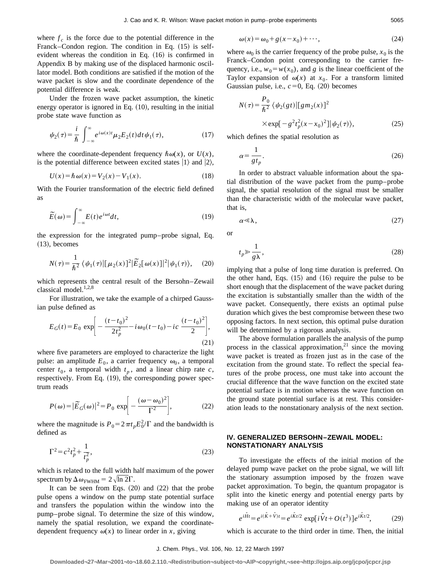where  $f_c$  is the force due to the potential difference in the Franck–Condon region. The condition in Eq.  $(15)$  is selfevident whereas the condition in Eq.  $(16)$  is confirmed in Appendix B by making use of the displaced harmonic oscillator model. Both conditions are satisfied if the motion of the wave packet is slow and the coordinate dependence of the potential difference is weak.

Under the frozen wave packet assumption, the kinetic energy operator is ignored in Eq.  $(10)$ , resulting in the initial probe state wave function as

$$
\psi_2(\tau) = \frac{i}{\hbar} \int_{-\infty}^{\infty} e^{i\omega(x)t} \mu_2 E_2(t) dt \psi_1(\tau), \qquad (17)
$$

where the coordinate-dependent frequency  $\hbar \omega(x)$ , or  $U(x)$ , is the potential difference between excited states  $|1\rangle$  and  $|2\rangle$ ,

$$
U(x) = \hbar \omega(x) = V_2(x) - V_1(x). \tag{18}
$$

With the Fourier transformation of the electric field defined as

$$
\widetilde{E}(\omega) = \int_{-\infty}^{\infty} E(t) e^{i\omega t} dt,
$$
\n(19)

the expression for the integrated pump–probe signal, Eq.  $(13)$ , becomes

$$
N(\tau) = \frac{1}{\hbar^2} \left\langle \psi_1(\tau) \left[ \left[ \mu_2(x) \right]^2 \right] \tilde{E}_2[\omega(x)]^2 \right| \psi_1(\tau) \left\rangle, \quad (20)
$$

which represents the central result of the Bersohn–Zewail classical model.<sup>1,2,8</sup>

For illustration, we take the example of a chirped Gaussian pulse defined as

$$
E_G(t) = E_0 \exp\left[-\frac{(t - t_0)^2}{2t_p^2} - i\omega_0(t - t_0) - ic\frac{(t - t_0)^2}{2}\right],
$$
\n(21)

where five parameters are employed to characterize the light pulse: an amplitude  $E_0$ , a carrier frequency  $\omega_0$ , a temporal center  $t_0$ , a temporal width  $t_p$ , and a linear chirp rate  $c$ , respectively. From Eq.  $(19)$ , the corresponding power spectrum reads

$$
P(\omega) = |\widetilde{E}_G(\omega)|^2 = P_0 \exp\left[-\frac{(\omega - \omega_0)^2}{\Gamma^2}\right],\tag{22}
$$

where the magnitude is  $P_0 = 2 \pi t_p E_0^2 / \Gamma$  and the bandwidth is defined as

$$
\Gamma^2 = c^2 t_p^2 + \frac{1}{t_p^2},\tag{23}
$$

which is related to the full width half maximum of the power spectrum by  $\Delta \omega_{\text{FWHM}} = 2\sqrt{\ln 2\Gamma}$ .

It can be seen from Eqs.  $(20)$  and  $(22)$  that the probe pulse opens a window on the pump state potential surface and transfers the population within the window into the pump–probe signal. To determine the size of this window, namely the spatial resolution, we expand the coordinatedependent frequency  $\omega(x)$  to linear order in *x*, giving

$$
\omega(x) = \omega_0 + g(x - x_0) + \cdots,\tag{24}
$$

where  $\omega_0$  is the carrier frequency of the probe pulse,  $x_0$  is the Franck–Condon point corresponding to the carrier frequency, i.e.,  $w_0 = w(x_0)$ , and *g* is the linear coefficient of the Taylor expansion of  $\omega(x)$  at  $x_0$ . For a transform limited Gaussian pulse, i.e.,  $c=0$ , Eq.  $(20)$  becomes

$$
N(\tau) = \frac{P_0}{\hbar^2} \langle \psi_2(gt) | [gm_2(x)]^2
$$
  
× $\exp[-g^2 t_p^2 (x - x_0)^2] | \psi_2(\tau) \rangle$ , (25)

which defines the spatial resolution as

$$
\alpha = \frac{1}{gt_p}.\tag{26}
$$

In order to abstract valuable information about the spatial distribution of the wave packet from the pump–probe signal, the spatial resolution of the signal must be smaller than the characteristic width of the molecular wave packet, that is,

$$
\alpha \ll \lambda, \tag{27}
$$

or

$$
t_p \gg \frac{1}{g\lambda},\tag{28}
$$

implying that a pulse of long time duration is preferred. On the other hand, Eqs.  $(15)$  and  $(16)$  require the pulse to be short enough that the displacement of the wave packet during the excitation is substantially smaller than the width of the wave packet. Consequently, there exists an optimal pulse duration which gives the best compromise between these two opposing factors. In next section, this optimal pulse duration will be determined by a rigorous analysis.

The above formulation parallels the analysis of the pump process in the classical approximation, $21$  since the moving wave packet is treated as frozen just as in the case of the excitation from the ground state. To reflect the special features of the probe process, one must take into account the crucial difference that the wave function on the excited state potential surface is in motion whereas the wave function on the ground state potential surface is at rest. This consideration leads to the nonstationary analysis of the next section.

## **IV. GENERALIZED BERSOHN–ZEWAIL MODEL: NONSTATIONARY ANALYSIS**

To investigate the effects of the initial motion of the delayed pump wave packet on the probe signal, we will lift the stationary assumption imposed by the frozen wave packet approximation. To begin, the quantum propagator is split into the kinetic energy and potential energy parts by making use of an operator identity

$$
e^{i\hat{H}t} = e^{i(\hat{K} + \hat{V})t} = e^{i\hat{K}t/2} \exp[i\hat{V}t + O(t^3)]e^{i\hat{K}t/2}, \tag{29}
$$

which is accurate to the third order in time. Then, the initial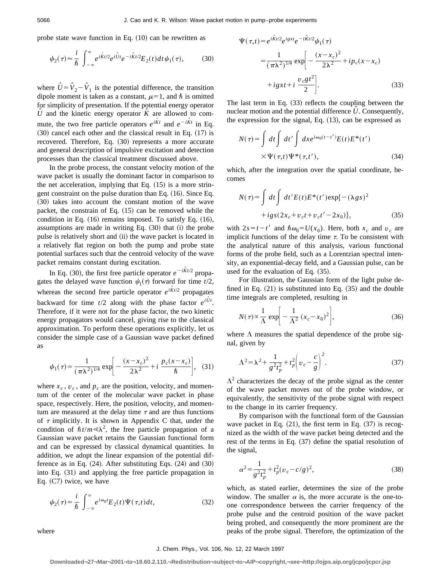probe state wave function in Eq.  $(10)$  can be rewritten as

$$
\psi_2(\tau) \approx \frac{i}{\hbar} \int_{-\infty}^{\infty} e^{i\hat{K}t/2} e^{i\hat{U}t} e^{-i\hat{K}t/2} E_2(t) dt \psi_1(\tau), \tag{30}
$$

where  $\hat{U} = \hat{V}_2 - \hat{V}_1$  is the potential difference, the transition dipole moment is taken as a constant,  $\mu=1$ , and  $\hbar$  is omitted for simplicity of presentation. If the potential energy operator *Uˆ* and the kinetic energy operator *Kˆ* are allowed to commute, the two free particle operators  $e^{i\hat{K}t}$  and  $e^{-i\hat{K}t}$  in Eq.  $(30)$  cancel each other and the classical result in Eq.  $(17)$  is recovered. Therefore, Eq.  $(30)$  represents a more accurate and general description of impulsive excitation and detection processes than the classical treatment discussed above.

In the probe process, the constant velocity motion of the wave packet is usually the dominant factor in comparison to the net acceleration, implying that Eq.  $(15)$  is a more stringent constraint on the pulse duration than Eq.  $(16)$ . Since Eq. (30) takes into account the constant motion of the wave packet, the constrain of Eq.  $(15)$  can be removed while the condition in Eq.  $(16)$  remains imposed. To satisfy Eq.  $(16)$ , assumptions are made in writing Eq.  $(30)$  that  $(i)$  the probe pulse is relatively short and (ii) the wave packet is located in a relatively flat region on both the pump and probe state potential surfaces such that the centroid velocity of the wave packet remains constant during excitation.

In Eq. (30), the first free particle operator  $e^{-iKt/2}$  propagates the delayed wave function  $\psi_1(\tau)$  forward for time  $t/2$ , whereas the second free particle operator  $e^{i\hat{K}t/2}$  propagates backward for time  $t/2$  along with the phase factor  $e^{i\hat{U}t}$ . Therefore, if it were not for the phase factor, the two kinetic energy propagators would cancel, giving rise to the classical approximation. To perform these operations explicitly, let us consider the simple case of a Gaussian wave packet defined as

$$
\psi_1(\tau) = \frac{1}{(\pi \lambda^2)^{1/4}} \exp\bigg[ -\frac{(x - x_c)^2}{2\lambda^2} + i \frac{p_c(x - x_c)}{\hbar} \bigg], \quad (31)
$$

where  $x_c$ ,  $v_c$ , and  $p_c$  are the position, velocity, and momentum of the center of the molecular wave packet in phase space, respectively. Here, the position, velocity, and momentum are measured at the delay time  $\tau$  and are thus functions of  $\tau$  implicitly. It is shown in Appendix C that, under the condition of  $\hbar t/m \ll \lambda^2$ , the free particle propagation of a Gaussian wave packet retains the Gaussian functional form and can be expressed by classical dynamical quantities. In addition, we adopt the linear expansion of the potential difference as in Eq.  $(24)$ . After substituting Eqs.  $(24)$  and  $(30)$ into Eq.  $(31)$  and applying the free particle propagation in Eq.  $(C7)$  twice, we have

$$
\psi_2(\tau) = \frac{i}{\hbar} \int_{-\infty}^{\infty} e^{i\omega_0 t} E_2(t) \Psi(\tau, t) dt,
$$
\n(32)

$$
\Psi(\tau,t) = e^{i\hat{K}t/2} e^{igxt} e^{-i\hat{K}t/2} \psi_1(\tau)
$$
\n
$$
= \frac{1}{(\pi\lambda^2)^{1/4}} \exp\left[-\frac{(x-x_c)^2}{2\lambda^2} + ip_c(x-x_c) + igxt + i\frac{v_cgt^2}{2}\right].
$$
\n(33)

The last term in Eq.  $(33)$  reflects the coupling between the nuclear motion and the potential difference  $\hat{U}$ . Consequently, the expression for the signal, Eq.  $(13)$ , can be expressed as

$$
N(\tau) = \int dt \int dt' \int dx e^{i\omega_0(t-t')} E(t) E^*(t')
$$
  
 
$$
\times \Psi(\tau, t) \Psi^*(\tau, t'), \qquad (34)
$$

which, after the integration over the spatial coordinate, becomes

$$
N(\tau) = \int dt \int dt' E(t) E^*(t') \exp\{- (\lambda g s)^2 + ig s (2x_c + v_c t + v_c t' - 2x_0) \},
$$
 (35)

with  $2s = t - t'$  and  $\hbar \omega_0 = U(x_0)$ . Here, both  $x_c$  and  $v_c$  are implicit functions of the delay time  $\tau$ . To be consistent with the analytical nature of this analysis, various functional forms of the probe field, such as a Lorentzian spectral intensity, an exponential-decay field, and a Gaussian pulse, can be used for the evaluation of Eq.  $(35)$ .

For illustration, the Gaussian form of the light pulse defined in Eq.  $(21)$  is substituted into Eq.  $(35)$  and the double time integrals are completed, resulting in

$$
N(\tau) \propto \frac{1}{\Lambda} \exp\left[-\frac{1}{\Lambda^2} (x_c - x_0)^2\right],
$$
 (36)

where  $\Lambda$  measures the spatial dependence of the probe signal, given by

$$
\Lambda^{2} = \lambda^{2} + \frac{1}{g^{2}t_{p}^{2}} + t_{p}^{2} \left( v_{c} - \frac{c}{g} \right)^{2}.
$$
 (37)

 $\Lambda^2$  characterizes the decay of the probe signal as the center of the wave packet moves out of the probe window, or equivalently, the sensitivity of the probe signal with respect to the change in its carrier frequency.

By comparison with the functional form of the Gaussian wave packet in Eq.  $(21)$ , the first term in Eq.  $(37)$  is recognized as the width of the wave packet being detected and the rest of the terms in Eq.  $(37)$  define the spatial resolution of the signal,

$$
\alpha^2 = \frac{1}{g^2 t_p^2} + t_p^2 (v_c - c/g)^2,
$$
\n(38)

which, as stated earlier, determines the size of the probe window. The smaller  $\alpha$  is, the more accurate is the one-toone correspondence between the carrier frequency of the probe pulse and the centroid position of the wave packet being probed, and consequently the more prominent are the peaks of the probe signal. Therefore, the optimization of the

where

#### J. Chem. Phys., Vol. 106, No. 12, 22 March 1997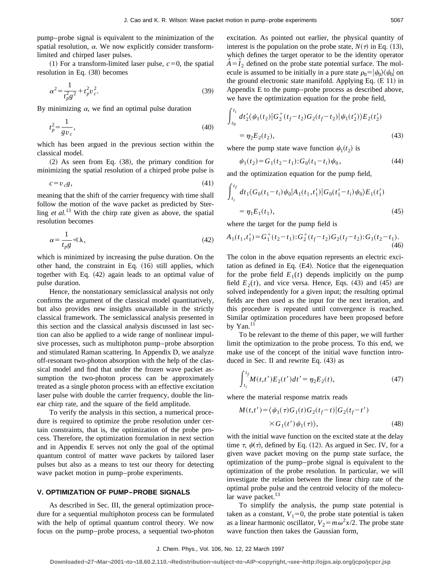pump–probe signal is equivalent to the minimization of the spatial resolution,  $\alpha$ . We now explicitly consider transformlimited and chirped laser pulses.

 $(1)$  For a transform-limited laser pulse,  $c=0$ , the spatial resolution in Eq.  $(38)$  becomes

$$
\alpha^2 = \frac{1}{t_p^2 g^2} + t_p^2 v_c^2.
$$
\n(39)

By minimizing  $\alpha$ , we find an optimal pulse duration

$$
t_p^2 = \frac{1}{g v_c},\tag{40}
$$

which has been argued in the previous section within the classical model.

 $(2)$  As seen from Eq.  $(38)$ , the primary condition for minimizing the spatial resolution of a chirped probe pulse is

$$
c = v_c g, \tag{41}
$$

meaning that the shift of the carrier frequency with time shall follow the motion of the wave packet as predicted by Sterling *et al.*<sup>13</sup> With the chirp rate given as above, the spatial resolution becomes

$$
\alpha = \frac{1}{t_p g} \ll \lambda, \tag{42}
$$

which is minimized by increasing the pulse duration. On the other hand, the constraint in Eq.  $(16)$  still applies, which together with Eq.  $(42)$  again leads to an optimal value of pulse duration.

Hence, the nonstationary semiclassical analysis not only confirms the argument of the classical model quantitatively, but also provides new insights unavailable in the strictly classical framework. The semiclassical analysis presented in this section and the classical analysis discussed in last section can also be applied to a wide range of nonlinear impulsive processes, such as multiphoton pump–probe absorption and stimulated Raman scattering. In Appendix D, we analyze off-resonant two-photon absorption with the help of the classical model and find that under the frozen wave packet assumption the two-photon process can be approximately treated as a single photon process with an effective excitation laser pulse with double the carrier frequency, double the linear chirp rate, and the square of the field amplitude.

To verify the analysis in this section, a numerical procedure is required to optimize the probe resolution under certain constraints, that is, the optimization of the probe process. Therefore, the optimization formulation in next section and in Appendix E serves not only the goal of the optimal quantum control of matter wave packets by tailored laser pulses but also as a means to test our theory for detecting wave packet motion in pump–probe experiments.

### **V. OPTIMIZATION OF PUMP–PROBE SIGNALS**

As described in Sec. III, the general optimization procedure for a sequential multiphoton process can be formulated with the help of optimal quantum control theory. We now focus on the pump–probe process, a sequential two-photon excitation. As pointed out earlier, the physical quantity of interest is the population on the probe state,  $N(\tau)$  in Eq. (13), which defines the target operator to be the identity operator  $\hat{A} = \hat{I}_2$  defined on the probe state potential surface. The molecule is assumed to be initially in a pure state  $\rho_0=|\psi_0\rangle\langle\psi_0|$  on the ground electronic state manifold. Applying Eq.  $(E 11)$  in Appendix E to the pump–probe process as described above, we have the optimization equation for the probe field,

$$
\int_{t_0}^{t_i} dt'_2 \langle \psi_1(t_2) | G_2^+(t_f - t_2) G_2(t_f - t_2) | \psi_1(t'_2) \rangle E_2(t'_2)
$$
  
=  $\eta_2 E_2(t_2)$ , (43)

where the pump state wave function  $\psi_1(t_2)$  is

$$
\psi_1(t_2) = G_1(t_2 - t_1) \cdot G_0(t_1 - t_i) \psi_0, \tag{44}
$$

and the optimization equation for the pump field,

$$
\int_{t_i}^{t_f} dt_1 \langle G_0(t_1 - t_i) \psi_0 | A_1(t_1, t_1') | G_0(t_1' - t_i) \psi_0 \rangle E_1(t_1')
$$
  
=  $\eta_1 E_1(t_1)$ , (45)

where the target for the pump field is

$$
A_1(t_1, t_1') = G_1^+(t_2 - t_1) : G_2^+(t_f - t_2) G_2(t_f - t_2) : G_1(t_2 - t_1).
$$
\n(46)

The colon in the above equation represents an electric excitation as defined in Eq.  $(E4)$ . Notice that the eigenequation for the probe field  $E_1(t)$  depends implicitly on the pump field  $E_2(t)$ , and vice versa. Hence, Eqs.  $(43)$  and  $(45)$  are solved independently for a given input; the resulting optimal fields are then used as the input for the next iteration, and this procedure is repeated until convergence is reached. Similar optimization procedures have been proposed before by Yan. $^{11}$ 

To be relevant to the theme of this paper, we will further limit the optimization to the probe process. To this end, we make use of the concept of the initial wave function introduced in Sec. II and rewrite Eq.  $(43)$  as

$$
\int_{t_i}^{t_f} M(t, t') E_2(t') dt' = \eta_2 E_2(t), \tag{47}
$$

where the material response matrix reads

$$
M(t,t') = \langle \psi_1(\tau)G_1(t)G_2(t_f-t) | G_2(t_f-t')
$$
  
× $G_1(t')\psi_1(\tau)$ , (48)

with the initial wave function on the excited state at the delay time  $\tau$ ,  $\psi(\tau)$ , defined by Eq. (12). As argued in Sec. IV, for a given wave packet moving on the pump state surface, the optimization of the pump–probe signal is equivalent to the optimization of the probe resolution. In particular, we will investigate the relation between the linear chirp rate of the optimal probe pulse and the centroid velocity of the molecular wave packet. $^{13}$ 

To simplify the analysis, the pump state potential is taken as a constant,  $V_1=0$ , the probe state potential is taken as a linear harmonic oscillator,  $V_2 = m\omega^2 x/2$ . The probe state wave function then takes the Gaussian form,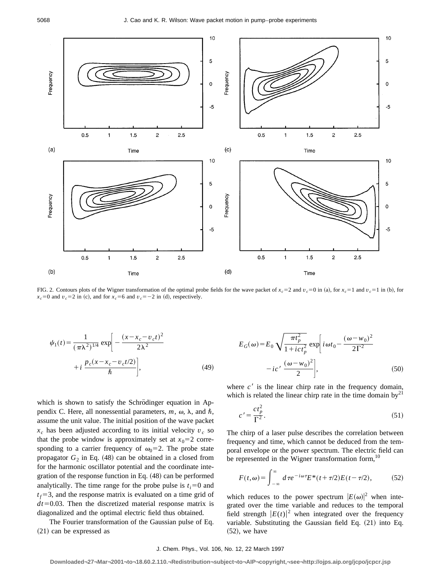

FIG. 2. Contours plots of the Wigner transformation of the optimal probe fields for the wave packet of  $x_c = 2$  and  $v_c = 0$  in (a), for  $x_c = 1$  and  $v_c = 1$  in (b), for  $x_c=0$  and  $v_c=2$  in (c), and for  $x_c=6$  and  $v_c=-2$  in (d), respectively.

$$
\psi_1(t) = \frac{1}{(\pi \lambda^2)^{1/4}} \exp\left[-\frac{(x - x_c - v_c t)^2}{2\lambda^2} + i\frac{p_c(x - x_c - v_c t/2)}{\hbar}\right],
$$
\n(49)

which is shown to satisfy the Schrödinger equation in Appendix C. Here, all nonessential parameters,  $m$ ,  $\omega$ ,  $\lambda$ , and  $\hbar$ , assume the unit value. The initial position of the wave packet  $x_c$  has been adjusted according to its initial velocity  $v_c$  so that the probe window is approximately set at  $x_0=2$  corresponding to a carrier frequency of  $\omega_0=2$ . The probe state propagator  $G_2$  in Eq. (48) can be obtained in a closed from for the harmonic oscillator potential and the coordinate integration of the response function in Eq.  $(48)$  can be performed analytically. The time range for the probe pulse is  $t_i=0$  and  $t_f$ =3, and the response matrix is evaluated on a time grid of  $dt$ =0.03. Then the discretized material response matrix is diagonalized and the optimal electric field thus obtained.

The Fourier transformation of the Gaussian pulse of Eq.  $(21)$  can be expressed as

$$
E_G(\omega) = E_0 \sqrt{\frac{\pi t_p^2}{1 + i c t_p^2}} \exp \left[ i \omega t_0 - \frac{(\omega - w_0)^2}{2\Gamma^2} - i c' \frac{(\omega - w_0)^2}{2} \right],
$$
\n(50)

where  $c<sup>3</sup>$  is the linear chirp rate in the frequency domain, which is related the linear chirp rate in the time domain  $by<sup>21</sup>$ 

$$
c' = \frac{ct_p^2}{\Gamma^2}.\tag{51}
$$

The chirp of a laser pulse describes the correlation between frequency and time, which cannot be deduced from the temporal envelope or the power spectrum. The electric field can be represented in the Wigner transformation form, $^{10}$ 

$$
F(t,\omega) = \int_{-\infty}^{\infty} d\tau e^{-i\omega\tau} E^*(t+\tau/2) E(t-\tau/2), \qquad (52)
$$

which reduces to the power spectrum  $|E(\omega)|^2$  when integrated over the time variable and reduces to the temporal field strength  $|E(t)|^2$  when integrated over the frequency variable. Substituting the Gaussian field Eq.  $(21)$  into Eq.  $(52)$ , we have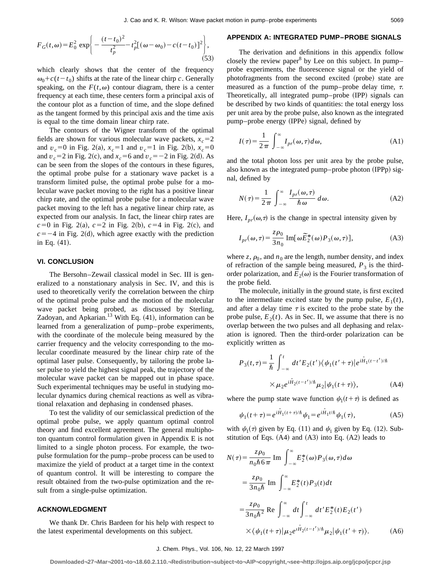$$
F_G(t,\omega) = E_0^2 \exp\left\{-\frac{(t-t_0)^2}{t_p^2} - t_p^2[(\omega-\omega_0) - c(t-t_0)]^2\right\},\tag{53}
$$

which clearly shows that the center of the frequency  $\omega_0 + c(t - t_0)$  shifts at the rate of the linear chirp *c*. Generally speaking, on the  $F(t, \omega)$  contour diagram, there is a center frequency at each time, these centers form a principal axis of the contour plot as a function of time, and the slope defined as the tangent formed by this principal axis and the time axis is equal to the time domain linear chirp rate.

The contours of the Wigner transform of the optimal fields are shown for various molecular wave packets,  $x_c = 2$ and  $v_c = 0$  in Fig. 2(a),  $x_c = 1$  and  $v_c = 1$  in Fig. 2(b),  $x_c = 0$ and  $v_c$  = 2 in Fig. 2(c), and  $x_c$  = 6 and  $v_c$  = -2 in Fig. 2(d). As can be seen from the slopes of the contours in these figures, the optimal probe pulse for a stationary wave packet is a transform limited pulse, the optimal probe pulse for a molecular wave packet moving to the right has a positive linear chirp rate, and the optimal probe pulse for a molecular wave packet moving to the left has a negative linear chirp rate, as expected from our analysis. In fact, the linear chirp rates are  $c=0$  in Fig. 2(a),  $c=2$  in Fig. 2(b),  $c=4$  in Fig. 2(c), and  $c=-4$  in Fig. 2(d), which agree exactly with the prediction in Eq.  $(41)$ .

# **VI. CONCLUSION**

The Bersohn–Zewail classical model in Sec. III is generalized to a nonstationary analysis in Sec. IV, and this is used to theoretically verify the correlation between the chirp of the optimal probe pulse and the motion of the molecular wave packet being probed, as discussed by Sterling, Zadoyan, and Apkarian.<sup>13</sup> With Eq.  $(41)$ , information can be learned from a generalization of pump–probe experiments, with the coordinate of the molecule being measured by the carrier frequency and the velocity corresponding to the molecular coordinate measured by the linear chirp rate of the optimal laser pulse. Consequently, by tailoring the probe laser pulse to yield the highest signal peak, the trajectory of the molecular wave packet can be mapped out in phase space. Such experimental techniques may be useful in studying molecular dynamics during chemical reactions as well as vibrational relaxation and dephasing in condensed phases.

To test the validity of our semiclassical prediction of the optimal probe pulse, we apply quantum optimal control theory and find excellent agreement. The general multiphoton quantum control formulation given in Appendix E is not limited to a single photon process. For example, the twopulse formulation for the pump–probe process can be used to maximize the yield of product at a target time in the context of quantum control. It will be interesting to compare the result obtained from the two-pulse optimization and the result from a single-pulse optimization.

#### **ACKNOWLEDGMENT**

We thank Dr. Chris Bardeen for his help with respect to the latest experimental developments on this subject.

## **APPENDIX A: INTEGRATED PUMP–PROBE SIGNALS**

The derivation and definitions in this appendix follow closely the review paper<sup>8</sup> by Lee on this subject. In pump– probe experiments, the fluorescence signal or the yield of photofragments from the second excited (probe) state are measured as a function of the pump–probe delay time,  $\tau$ . Theoretically, all integrated pump–probe (IPP) signals can be described by two kinds of quantities: the total energy loss per unit area by the probe pulse, also known as the integrated pump–probe energy (IPPe) signal, defined by

$$
I(\tau) = \frac{1}{2\pi} \int_{-\infty}^{\infty} I_{pr}(\omega, \tau) d\omega,
$$
 (A1)

and the total photon loss per unit area by the probe pulse, also known as the integrated pump–probe photon  $(IPPp)$  signal, defined by

$$
N(\tau) = \frac{1}{2\pi} \int_{-\infty}^{\infty} \frac{I_{pr}(\omega, \tau)}{\hbar \omega} d\omega.
$$
 (A2)

Here,  $I_{pr}(\omega, \tau)$  is the change in spectral intensity given by

$$
I_{pr}(\omega,\tau) = \frac{z\rho_0}{3n_0} \operatorname{Im}[\omega \widetilde{E}_2^*(\omega) P_3(\omega,\tau)],\tag{A3}
$$

where *z*,  $\rho_0$ , and  $n_0$  are the length, number density, and index of refraction of the sample being measured,  $P_3$  is the thirdof refraction of the sample being measured,  $P_3$  is the third-order polarization, and  $\tilde{E}_2(\omega)$  is the Fourier transformation of the probe field.

The molecule, initially in the ground state, is first excited to the intermediate excited state by the pump pulse,  $E_1(t)$ , and after a delay time  $\tau$  is excited to the probe state by the probe pulse,  $E_2(t)$ . As in Sec. II, we assume that there is no overlap between the two pulses and all dephasing and relaxation is ignored. Then the third-order polarization can be explicitly written as

$$
P_3(t,\tau) = \frac{1}{\hbar} \int_{-\infty}^t dt' E_2(t') \langle \psi_1(t' + \tau) | e^{i\hat{H}_1(t - t')/\hbar} \times \mu_2 e^{i\hat{H}_2(t - t')/\hbar} \mu_2 | \psi_1(t + \tau) \rangle, \tag{A4}
$$

where the pump state wave function  $\psi_1(t+\tau)$  is defined as

$$
\psi_1(t+\tau) = e^{i\hat{H}_1(t+\tau)/\hbar} \psi_1 = e^{i\hat{H}_1 t/\hbar} \psi_1(\tau), \tag{A5}
$$

with  $\psi_1(\tau)$  given by Eq. (11) and  $\psi_1$  given by Eq. (12). Substitution of Eqs.  $(A4)$  and  $(A3)$  into Eq.  $(A2)$  leads to

$$
N(\tau) = \frac{z\rho_0}{n_0\hbar 6\pi} \operatorname{Im} \int_{-\infty}^{\infty} E_2^*(\omega) P_3(\omega, \tau) d\omega
$$
  

$$
= \frac{z\rho_0}{3n_0\hbar} \operatorname{Im} \int_{-\infty}^{\infty} E_2^*(t) P_3(t) dt
$$
  

$$
= \frac{z\rho_0}{3n_0\hbar^2} \operatorname{Re} \int_{-\infty}^{\infty} dt \int_{-\infty}^t dt' E_2^*(t) E_2(t')
$$
  

$$
\times \langle \psi_1(t+\tau) | \mu_2 e^{i\hat{H}_2(t-t')/\hbar} \mu_2 | \psi_1(t'+\tau) \rangle. \tag{A6}
$$

#### J. Chem. Phys., Vol. 106, No. 12, 22 March 1997

**Downloaded¬27¬Mar¬2001¬to¬18.60.2.110.¬Redistribution¬subject¬to¬AIP¬copyright,¬see¬http://ojps.aip.org/jcpo/jcpcr.jsp**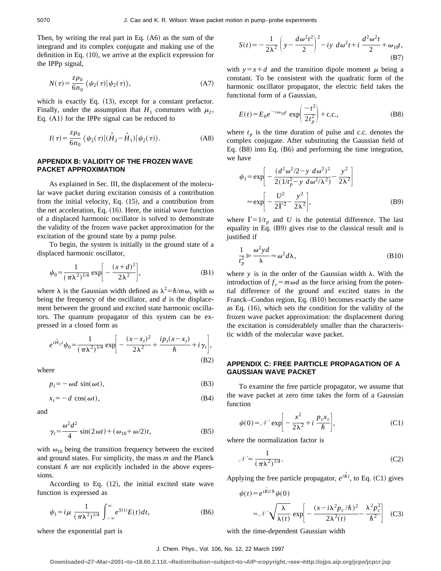Then, by writing the real part in Eq.  $(A6)$  as the sum of the integrand and its complex conjugate and making use of the definition in Eq.  $(10)$ , we arrive at the explicit expression for the IPPp signal,

$$
N(\tau) = \frac{z\rho_0}{6n_0} \langle \psi_2(\tau) | \psi_2(\tau) \rangle, \tag{A7}
$$

which is exactly Eq.  $(13)$ , except for a constant prefactor. Finally, under the assumption that  $H_1$  commutes with  $\mu_2$ , Eq.  $(A1)$  for the IPPe signal can be reduced to

$$
I(\tau) = \frac{z\rho_0}{6n_0} \langle \psi_2(\tau) | (\hat{H}_2 - \hat{H}_1) | \psi_2(\tau) \rangle.
$$
 (A8)

## **APPENDIX B: VALIDITY OF THE FROZEN WAVE PACKET APPROXIMATION**

As explained in Sec. III, the displacement of the molecular wave packet during excitation consists of a contribution from the initial velocity, Eq.  $(15)$ , and a contribution from the net acceleration, Eq.  $(16)$ . Here, the initial wave function of a displaced harmonic oscillator is solved to demonstrate the validity of the frozen wave packet approximation for the excitation of the ground state by a pump pulse.

To begin, the system is initially in the ground state of a displaced harmonic oscillator,

$$
\psi_0 = \frac{1}{(\pi \lambda^2)^{1/4}} \exp \left[ -\frac{(x+d)^2}{2\lambda^2} \right],
$$
 (B1)

where  $\lambda$  is the Gaussian width defined as  $\lambda^2 = \hbar/m\omega$ , with  $\omega$ being the frequency of the oscillator, and *d* is the displacement between the ground and excited state harmonic oscillators. The quantum propagator of this system can be expressed in a closed form as

$$
e^{i\hat{H}_1 t} \psi_0 = \frac{1}{(\pi \lambda^2)^{1/4}} \exp \bigg[ -\frac{(x - x_t)^2}{2\lambda^2} + \frac{ip_t(x - x_t)}{\hbar} + i\gamma_t \bigg],\tag{B2}
$$

where

$$
p_t = -\omega d \sin(\omega t),\tag{B3}
$$

$$
x_t = -d\,\cos(\omega t),\tag{B4}
$$

and

$$
\gamma_t = \frac{\omega^2 d^2}{4} \sin(2\omega t) + (\omega_{10} + \omega/2)t,
$$
 (B5)

with  $\omega_{10}$  being the transition frequency between the excited and ground states. For simplicity, the mass *m* and the Planck constant  $\hbar$  are not explicitly included in the above expressions.

According to Eq.  $(12)$ , the initial excited state wave function is expressed as

$$
\psi_1 = i\mu \frac{1}{(\pi\lambda^2)^{1/4}} \int_{-\infty}^{\infty} e^{S(t)} E(t) dt,
$$
 (B6)

where the exponential part is

$$
S(t) = -\frac{1}{2\lambda^2} \left( y - \frac{d\omega^2 t^2}{2} \right)^2 - iy \ d\omega^2 t + i \ \frac{d^2 \omega^2 t}{2} + \omega_{10} t,
$$
\n(B7)

with  $y=x+d$  and the transition dipole moment  $\mu$  being a constant. To be consistent with the quadratic form of the harmonic oscillator propagator, the electric field takes the functional form of a Gaussian,

$$
E(t) = E_0 e^{-t\omega_{10}t} \exp\left(\frac{-t^2}{2t_p^2}\right) + \text{c.c.},\tag{B8}
$$

where  $t_p$  is the time duration of pulse and c.c. denotes the complex conjugate. After substituting the Gaussian field of Eq.  $(B8)$  into Eq.  $(B6)$  and performing the time integration, we have

$$
\psi_1 = \exp\left[ -\frac{(d^2 \omega^2/2 - y \ d\omega^2)^2}{2(1/t_p^2 - y \ d\omega^2/\lambda^2)} - \frac{y^2}{2\lambda^2} \right]
$$
  
\n
$$
\approx \exp\left[ -\frac{U^2}{2\Gamma^2} - \frac{y^2}{2\lambda^2} \right],
$$
 (B9)

where  $\Gamma = 1/t_p$  and *U* is the potential difference. The last equality in Eq.  $(B9)$  gives rise to the classical result and is justified if

$$
\frac{1}{t_p^2} \gg \frac{\omega^2 y d}{\lambda} \approx \omega^2 d\lambda, \tag{B10}
$$

where  $y$  is in the order of the Gaussian width  $\lambda$ . With the introduction of  $f_c = m \omega d$  as the force arising from the potential difference of the ground and excited states in the Franck–Condon region, Eq.  $(B10)$  becomes exactly the same as Eq.  $(16)$ , which sets the condition for the validity of the frozen wave packet approximation: the displacement during the excitation is considerablely smaller than the characteristic width of the molecular wave packet.

# **APPENDIX C: FREE PARTICLE PROPAGATION OF A GAUSSIAN WAVE PACKET**

To examine the free particle propagator, we assume that the wave packet at zero time takes the form of a Gaussian function

$$
\psi(0) = \mathcal{N} \exp\bigg[-\frac{x^2}{2\lambda^2} + i\,\frac{p_c x_c}{\hbar}\bigg],\tag{C1}
$$

where the normalization factor is

$$
\mathcal{N} = \frac{1}{(\pi \lambda^2)^{1/4}}.\tag{C2}
$$

Applying the free particle propagator,  $e^{i\hat{K}t}$ , to Eq. (C1) gives

$$
\psi(t) = e^{i\hat{K}t/\hbar} \psi(0)
$$
  
=  $\mathcal{N} \sqrt{\frac{\lambda}{\lambda(t)}} \exp\left[-\frac{(x - i\lambda^2 p_c/\hbar)^2}{2\lambda^2(t)} - \frac{\lambda^2 p_c^2}{\hbar^2}\right]$  (C3)

with the time-dependent Gaussian width

#### J. Chem. Phys., Vol. 106, No. 12, 22 March 1997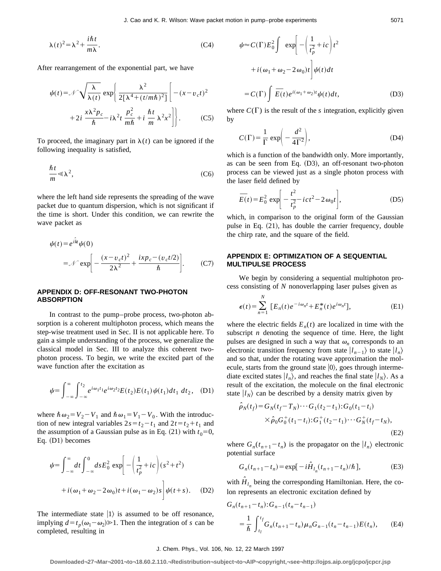$$
\lambda(t)^2 = \lambda^2 + \frac{i\hbar t}{m\lambda}.
$$
 (C4)

After rearrangement of the exponential part, we have

$$
\psi(t) = \mathcal{N} \sqrt{\frac{\lambda}{\lambda(t)}} \exp\left\{\frac{\lambda^2}{2[\lambda^4 + (t/m\hbar)^2]} \left[-(x - v_c t)^2 + 2i\frac{x\lambda^2 p_c}{\hbar} - i\lambda^2 t \frac{p_c^2}{m\hbar} + i\frac{\hbar t}{m}\lambda^2 x^2\right]\right\}.
$$
 (C5)

To proceed, the imaginary part in  $\lambda(t)$  can be ignored if the following inequality is satisfied,

$$
\frac{\hbar t}{m} \ll \lambda^2,\tag{C6}
$$

where the left hand side represents the spreading of the wave packet due to quantum dispersion, which is not significant if the time is short. Under this condition, we can rewrite the wave packet as

$$
\psi(t) = e^{i\hat{k}t} \psi(0)
$$
  
=  $\mathcal{N} \exp\left[-\frac{(x - v_c t)^2}{2\lambda^2} + \frac{ixp_c - (v_c t/2)}{\hbar}\right].$  (C7)

# **APPENDIX D: OFF-RESONANT TWO-PHOTON ABSORPTION**

In contrast to the pump–probe process, two-photon absorption is a coherent multiphoton process, which means the step-wise treatment used in Sec. II is not applicable here. To gain a simple understanding of the process, we generalize the classical model in Sec. III to analyze this coherent twophoton process. To begin, we write the excited part of the wave function after the excitation as

$$
\psi = \int_{-\infty}^{\infty} \int_{-\infty}^{t_2} e^{i\omega_1 t_1} e^{i\omega_2 t_2} E(t_2) E(t_1) \psi(t_1) dt_1 dt_2, \quad (D1)
$$

where  $\hbar \omega_2 = V_2 - V_1$  and  $\hbar \omega_1 = V_1 - V_0$ . With the introduction of new integral variables  $2s = t_2 - t_1$  and  $2t = t_2 + t_1$  and the assumption of a Gaussian pulse as in Eq.  $(21)$  with  $t_0=0$ ,  $Eq. (D1) becomes$ 

$$
\psi = \int_{-\infty}^{\infty} dt \int_{-\infty}^{0} ds E_0^2 \exp\left[-\left(\frac{1}{t_p^2} + ic\right) (s^2 + t^2) + i(\omega_1 + \omega_2 - 2\omega_0)t + i(\omega_1 - \omega_2)s\right] \psi(t+s).
$$
 (D2)

The intermediate state  $|1\rangle$  is assumed to be off resonance, implying  $d = t_p(\omega_1 - \omega_2) \ge 1$ . Then the integration of *s* can be completed, resulting in

$$
\psi \approx C(\Gamma) E_0^2 \int \exp\left[-\left(\frac{1}{t_p^2} + ic\right)t^2 + i(\omega_1 + \omega_2 - 2\omega_0)t\right] \psi(t) dt
$$

$$
= C(\Gamma) \int \overline{E}(t) e^{i(\omega_1 + \omega_2)t} \psi(t) dt,
$$
 (D3)

where  $C(\Gamma)$  is the result of the *s* integration, explicitly given by

$$
C(\Gamma) = \frac{1}{\Gamma} \exp\left(-\frac{d^2}{4\Gamma^2}\right),\tag{D4}
$$

which is a function of the bandwidth only. More importantly, as can be seen from Eq.  $(D3)$ , an off-resonant two-photon process can be viewed just as a single photon process with the laser field defined by

$$
\overline{E}(t) = E_0^2 \exp\bigg[-\frac{t^2}{t_p^2} - ict^2 - 2\omega_0 t\bigg],
$$
 (D5)

which, in comparison to the original form of the Gaussian pulse in Eq.  $(21)$ , has double the carrier frequency, double the chirp rate, and the square of the field.

## **APPENDIX E: OPTIMIZATION OF A SEQUENTIAL MULTIPULSE PROCESS**

We begin by considering a sequential multiphoton process consisting of *N* nonoverlapping laser pulses given as

$$
\epsilon(t) = \sum_{n=1}^{N} \left[ E_n(t) e^{-i\omega_n t} + E_n^*(t) e^{i\omega_n t} \right],
$$
 (E1)

where the electric fields  $E_n(t)$  are localized in time with the subscript  $n$  denoting the sequence of time. Here, the light pulses are designed in such a way that  $\omega_n$  corresponds to an electronic transition frequency from state  $|l_{n-1}\rangle$  to state  $|l_n\rangle$ and so that, under the rotating wave approximation the molecule, starts from the ground state  $|0\rangle$ , goes through intermediate excited states  $|l_n\rangle$ , and reaches the final state  $|l_N\rangle$ . As a result of the excitation, the molecule on the final electronic state  $|l_N\rangle$  can be described by a density matrix given by

$$
\hat{\rho}_N(t_f) = G_N(t_f - T_N) \cdots G_1(t_2 - t_1) \cdots G_0(t_1 - t_i)
$$
  
 
$$
\times \hat{\rho}_0 G_0^+(t_1 - t_i) \cdots G_1^+(t_2 - t_1) \cdots G_N^+(t_f - t_N),
$$
  
(E2)

where  $G_n(t_{n+1}-t_n)$  is the propagator on the  $|l_n\rangle$  electronic potential surface

$$
G_n(t_{n+1} - t_n) = \exp[-i\hat{H}_{l_n}(t_{n+1} - t_n)/\hbar],
$$
 (E3)

with  $H_{l_n}$  being the corresponding Hamiltonian. Here, the colon represents an electronic excitation defined by

$$
G_n(t_{n+1} - t_n): G_{n-1}(t_n - t_{n-1})
$$
  
=  $\frac{1}{\hbar} \int_{t_1}^{t_f} G_n(t_{n+1} - t_n) \mu_n G_{n-1}(t_n - t_{n-1}) E(t_n),$  (E4)